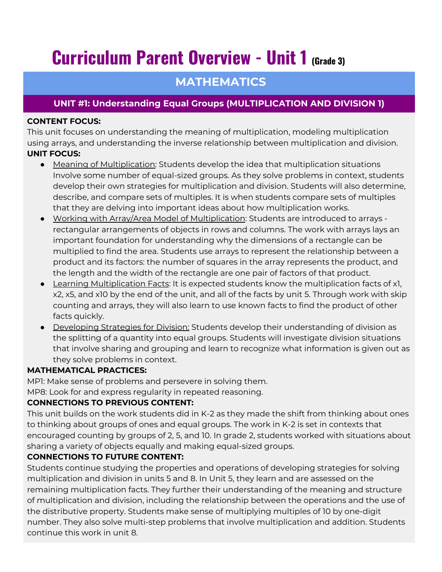# **Curriculum Parent Overview - Unit 1 (Grade 3)**

# **MATHEMATICS**

# **UNIT #1: Understanding Equal Groups (MULTIPLICATION AND DIVISION 1)**

#### **CONTENT FOCUS:**

This unit focuses on understanding the meaning of multiplication, modeling multiplication using arrays, and understanding the inverse relationship between multiplication and division. **UNIT FOCUS:**

- Meaning of Multiplication: Students develop the idea that multiplication situations Involve some number of equal-sized groups. As they solve problems in context, students develop their own strategies for multiplication and division. Students will also determine, describe, and compare sets of multiples. It is when students compare sets of multiples that they are delving into important ideas about how multiplication works.
- Working with Array/Area Model of Multiplication: Students are introduced to arrays rectangular arrangements of objects in rows and columns. The work with arrays lays an important foundation for understanding why the dimensions of a rectangle can be multiplied to find the area. Students use arrays to represent the relationship between a product and its factors: the number of squares in the array represents the product, and the length and the width of the rectangle are one pair of factors of that product.
- Learning Multiplication Facts: It is expected students know the multiplication facts of x1, x2, x5, and x10 by the end of the unit, and all of the facts by unit 5. Through work with skip counting and arrays, they will also learn to use known facts to find the product of other facts quickly.
- Developing Strategies for Division: Students develop their understanding of division as the splitting of a quantity into equal groups. Students will investigate division situations that involve sharing and grouping and learn to recognize what information is given out as they solve problems in context.

#### **MATHEMATICAL PRACTICES:**

MP1: Make sense of problems and persevere in solving them. MP8: Look for and express regularity in repeated reasoning.

## **CONNECTIONS TO PREVIOUS CONTENT:**

This unit builds on the work students did in K-2 as they made the shift from thinking about ones to thinking about groups of ones and equal groups. The work in K-2 is set in contexts that encouraged counting by groups of 2, 5, and 10. In grade 2, students worked with situations about sharing a variety of objects equally and making equal-sized groups.

## **CONNECTIONS TO FUTURE CONTENT:**

Students continue studying the properties and operations of developing strategies for solving multiplication and division in units 5 and 8. In Unit 5, they learn and are assessed on the remaining multiplication facts. They further their understanding of the meaning and structure of multiplication and division, including the relationship between the operations and the use of the distributive property. Students make sense of multiplying multiples of 10 by one-digit number. They also solve multi-step problems that involve multiplication and addition. Students continue this work in unit 8.